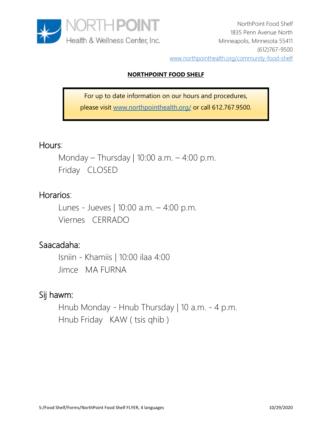

## **NORTHPOINT FOOD SHELF**

For up to date information on our hours and procedures, please visit www.northpointhealth.org/ or call 612.767.9500.

# Hours:

Monday – Thursday | 10:00 a.m. – 4:00 p.m. Friday CLOSED

## Horarios:

Lunes - Jueves | 10:00 a.m. – 4:00 p.m. Viernes CERRADO

# Saacadaha:

Isniin - Khamiis | 10:00 ilaa 4:00 Jimce MA FURNA

# Sij hawm:

Hnub Monday - Hnub Thursday | 10 a.m. - 4 p.m. Hnub Friday KAW ( tsis qhib )